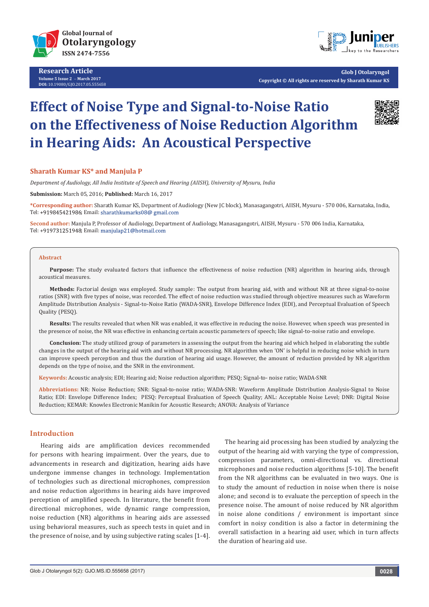

**Research Article Volume 5 Issue 2** - **March 2017 DOI:** [10.19080/GJO.2017.05.555658](http://dx.doi.org/10.19080/GJO.2017.05.555658)



**Glob J Otolaryngol Copyright © All rights are reserved by Sharath Kumar KS**

# **Effect of Noise Type and Signal-to-Noise Ratio on the Effectiveness of Noise Reduction Algorithm in Hearing Aids: An Acoustical Perspective**



## **Sharath Kumar KS\* and Manjula P**

*Department of Audiology, All India Institute of Speech and Hearing (AIISH), University of Mysuru, India*

**Submission:** March 05, 2016; **Published:** March 16, 2017

**\*Corresponding author:** Sharath Kumar KS, Department of Audiology (New JC block), Manasagangotri, AIISH, Mysuru - 570 006, Karnataka, India, Tel: +919845421986; Email: sharathkumarks08@ gmail.com

**Second author:** Manjula P, Professor of Audiology, Department of Audiology, Manasagangotri, AIISH, Mysuru - 570 006 India, Karnataka, Tel: +919731251948; Email: manjulap21@hotmail.com

#### **Abstract**

**Purpose:** The study evaluated factors that influence the effectiveness of noise reduction (NR) algorithm in hearing aids, through acoustical measures.

**Methods:** Factorial design was employed. Study sample: The output from hearing aid, with and without NR at three signal-to-noise ratios (SNR) with five types of noise, was recorded. The effect of noise reduction was studied through objective measures such as Waveform Amplitude Distribution Analysis - Signal-to-Noise Ratio (WADA-SNR), Envelope Difference Index (EDI), and Perceptual Evaluation of Speech Quality (PESQ).

**Results:** The results revealed that when NR was enabled, it was effective in reducing the noise. However, when speech was presented in the presence of noise, the NR was effective in enhancing certain acoustic parameters of speech; like signal-to-noise ratio and envelope.

**Conclusion:** The study utilized group of parameters in assessing the output from the hearing aid which helped in elaborating the subtle changes in the output of the hearing aid with and without NR processing. NR algorithm when 'ON' is helpful in reducing noise which in turn can improve speech perception and thus the duration of hearing aid usage. However, the amount of reduction provided by NR algorithm depends on the type of noise, and the SNR in the environment.

**Keywords:** Acoustic analysis; EDI; Hearing aid; Noise reduction algorithm; PESQ; Signal-to- noise ratio; WADA-SNR

**Abbreviations:** NR: Noise Reduction; SNR: Signal-to-noise ratio; WADA-SNR: Waveform Amplitude Distribution Analysis-Signal to Noise Ratio; EDI: Envelope Difference Index; PESQ: Perceptual Evaluation of Speech Quality; ANL: Acceptable Noise Level; DNR: Digital Noise Reduction; KEMAR: Knowles Electronic Manikin for Acoustic Research; ANOVA: Analysis of Variance

# **Introduction**

Hearing aids are amplification devices recommended for persons with hearing impairment. Over the years, due to advancements in research and digitization, hearing aids have undergone immense changes in technology. Implementation of technologies such as directional microphones, compression and noise reduction algorithms in hearing aids have improved perception of amplified speech. In literature, the benefit from directional microphones, wide dynamic range compression, noise reduction (NR) algorithms in hearing aids are assessed using behavioral measures, such as speech tests in quiet and in the presence of noise, and by using subjective rating scales [1-4].

 The hearing aid processing has been studied by analyzing the output of the hearing aid with varying the type of compression, compression parameters, omni-directional vs. directional microphones and noise reduction algorithms [5-10]. The benefit from the NR algorithms can be evaluated in two ways. One is to study the amount of reduction in noise when there is noise alone; and second is to evaluate the perception of speech in the presence noise. The amount of noise reduced by NR algorithm in noise alone conditions / environment is important since comfort in noisy condition is also a factor in determining the overall satisfaction in a hearing aid user, which in turn affects the duration of hearing aid use.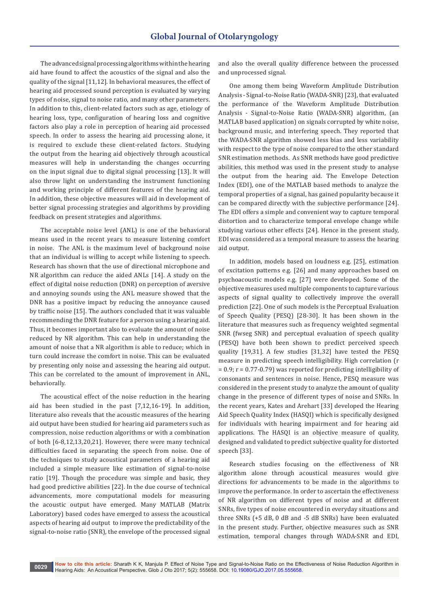The advanced signal processing algorithms within the hearing aid have found to affect the acoustics of the signal and also the quality of the signal [11,12]. In behavioral measures, the effect of hearing aid processed sound perception is evaluated by varying types of noise, signal to noise ratio, and many other parameters. In addition to this, client-related factors such as age, etiology of hearing loss, type, configuration of hearing loss and cognitive factors also play a role in perception of hearing aid processed speech. In order to assess the hearing aid processing alone, it is required to exclude these client-related factors. Studying the output from the hearing aid objectively through acoustical measures will help in understanding the changes occurring on the input signal due to digital signal processing [13]. It will also throw light on understanding the instrument functioning and working principle of different features of the hearing aid. In addition, these objective measures will aid in development of better signal processing strategies and algorithms by providing feedback on present strategies and algorithms.

The acceptable noise level (ANL) is one of the behavioral means used in the recent years to measure listening comfort in noise. The ANL is the maximum level of background noise that an individual is willing to accept while listening to speech. Research has shown that the use of directional microphone and NR algorithm can reduce the aided ANLs [14]. A study on the effect of digital noise reduction (DNR) on perception of aversive and annoying sounds using the ANL measure showed that the DNR has a positive impact by reducing the annoyance caused by traffic noise [15]. The authors concluded that it was valuable recommending the DNR feature for a person using a hearing aid. Thus, it becomes important also to evaluate the amount of noise reduced by NR algorithm. This can help in understanding the amount of noise that a NR algorithm is able to reduce; which in turn could increase the comfort in noise. This can be evaluated by presenting only noise and assessing the hearing aid output. This can be correlated to the amount of improvement in ANL, behaviorally.

The acoustical effect of the noise reduction in the hearing aid has been studied in the past [7,12,16-19]. In addition, literature also reveals that the acoustic measures of the hearing aid output have been studied for hearing aid parameters such as compression, noise reduction algorithms or with a combination of both [6-8,12,13,20,21]. However, there were many technical difficulties faced in separating the speech from noise. One of the techniques to study acoustical parameters of a hearing aid included a simple measure like estimation of signal-to-noise ratio [19]. Though the procedure was simple and basic, they had good predictive abilities [22]. In the due course of technical advancements, more computational models for measuring the acoustic output have emerged. Many MATLAB (Matrix Laboratory) based codes have emerged to assess the acoustical aspects of hearing aid output to improve the predictability of the signal-to-noise ratio (SNR), the envelope of the processed signal

and also the overall quality difference between the processed and unprocessed signal.

One among them being Waveform Amplitude Distribution Analysis - Signal-to-Noise Ratio (WADA-SNR) [23], that evaluated the performance of the Waveform Amplitude Distribution Analysis - Signal-to-Noise Ratio (WADA-SNR) algorithm, (an MATLAB based application) on signals corrupted by white noise, background music, and interfering speech. They reported that the WADA-SNR algorithm showed less bias and less variability with respect to the type of noise compared to the other standard SNR estimation methods. As SNR methods have good predictive abilities, this method was used in the present study to analyse the output from the hearing aid. The Envelope Detection Index (EDI), one of the MATLAB based methods to analyze the temporal properties of a signal, has gained popularity because it can be compared directly with the subjective performance [24]. The EDI offers a simple and convenient way to capture temporal distortion and to characterize temporal envelope change while studying various other effects [24]. Hence in the present study, EDI was considered as a temporal measure to assess the hearing aid output.

In addition, models based on loudness e.g. [25], estimation of excitation patterns e.g. [26] and many approaches based on psychoacoustic models e.g. [27] were developed. Some of the objective measures used multiple components to capture various aspects of signal quality to collectively improve the overall prediction [22]. One of such models is the Perceptual Evaluation of Speech Quality (PESQ) [28-30]. It has been shown in the literature that measures such as frequency weighted segmental SNR (fwseg SNR) and perceptual evaluation of speech quality (PESQ) have both been shown to predict perceived speech quality [19,31]. A few studies [31,32] have tested the PESQ measure in predicting speech intelligibility. High correlation (r  $= 0.9$ ;  $r = 0.77 - 0.79$  was reported for predicting intelligibility of consonants and sentences in noise. Hence, PESQ measure was considered in the present study to analyze the amount of quality change in the presence of different types of noise and SNRs. In the recent years, Kates and Arehart [33] developed the Hearing Aid Speech Quality Index (HASQI) which is specifically designed for individuals with hearing impairment and for hearing aid applications. The HASQI is an objective measure of quality, designed and validated to predict subjective quality for distorted speech [33].

Research studies focusing on the effectiveness of NR algorithm alone through acoustical measures would give directions for advancements to be made in the algorithms to improve the performance. In order to ascertain the effectiveness of NR algorithm on different types of noise and at different SNRs, five types of noise encountered in everyday situations and three SNRs (+5 dB, 0 dB and -5 dB SNRs) have been evaluated in the present study. Further, objective measures such as SNR estimation, temporal changes through WADA-SNR and EDI,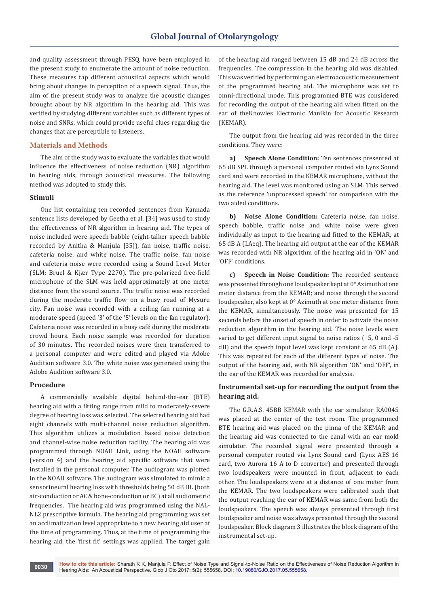and quality assessment through PESQ, have been employed in the present study to enumerate the amount of noise reduction. These measures tap different acoustical aspects which would bring about changes in perception of a speech signal. Thus, the aim of the present study was to analyze the acoustic changes brought about by NR algorithm in the hearing aid. This was verified by studying different variables such as different types of noise and SNRs, which could provide useful clues regarding the changes that are perceptible to listeners.

## **Materials and Methods**

The aim of the study was to evaluate the variables that would influence the effectiveness of noise reduction (NR) algorithm in hearing aids, through acoustical measures. The following method was adopted to study this.

#### **Stimuli**

One list containing ten recorded sentences from Kannada sentence lists developed by Geetha et al. [34] was used to study the effectiveness of NR algorithm in hearing aid. The types of noise included were speech babble (eight-talker speech babble recorded by Anitha & Manjula [35]), fan noise, traffic noise, cafeteria noise, and white noise. The traffic noise, fan noise and cafeteria noise were recorded using a Sound Level Meter (SLM; Bruel & Kjær Type 2270). The pre-polarized free-field microphone of the SLM was held approximately at one meter distance from the sound source. The traffic noise was recorded during the moderate traffic flow on a busy road of Mysuru city. Fan noise was recorded with a ceiling fan running at a moderate speed (speed '3' of the '5' levels on the fan regulator). Cafeteria noise was recorded in a busy café during the moderate crowd hours. Each noise sample was recorded for duration of 30 minutes. The recorded noises were then transferred to a personal computer and were edited and played via Adobe Audition software 3.0. The white noise was generated using the Adobe Audition software 3.0.

# **Procedure**

A commercially available digital behind-the-ear (BTE) hearing aid with a fitting range from mild to moderately-severe degree of hearing loss was selected. The selected hearing aid had eight channels with multi-channel noise reduction algorithm. This algorithm utilizes a modulation based noise detection and channel-wise noise reduction facility. The hearing aid was programmed through NOAH Link, using the NOAH software (version 4) and the hearing aid specific software that were installed in the personal computer. The audiogram was plotted in the NOAH software. The audiogram was simulated to mimic a sensorineural hearing loss with thresholds being 50 dB HL (both air-conduction or AC & bone-conduction or BC) at all audiometric frequencies. The hearing aid was programmed using the NAL-NL2 prescriptive formula. The hearing aid programming was set an acclimatization level appropriate to a new hearing aid user at the time of programming. Thus, at the time of programming the hearing aid, the 'first fit' settings was applied. The target gain

of the hearing aid ranged between 15 dB and 24 dB across the frequencies. The compression in the hearing aid was disabled. This was verified by performing an electroacoustic measurement of the programmed hearing aid. The microphone was set to omni-directional mode. This programmed BTE was considered for recording the output of the hearing aid when fitted on the ear of theKnowles Electronic Manikin for Acoustic Research (KEMAR).

The output from the hearing aid was recorded in the three conditions. They were:

**a) Speech Alone Condition:** Ten sentences presented at 65 dB SPL through a personal computer routed via Lynx Sound card and were recorded in the KEMAR microphone, without the hearing aid. The level was monitored using an SLM. This served as the reference 'unprocessed speech' for comparison with the two aided conditions.

**b) Noise Alone Condition:** Cafeteria noise, fan noise, speech babble, traffic noise and white noise were given individually as input to the hearing aid fitted to the KEMAR, at 65 dB A (LAeq). The hearing aid output at the ear of the KEMAR was recorded with NR algorithm of the hearing aid in 'ON' and 'OFF' conditions.

**c) Speech in Noise Condition:** The recorded sentence was presented through one loudspeaker kept at 0° Azimuth at one meter distance from the KEMAR; and noise through the second loudspeaker, also kept at 0° Azimuth at one meter distance from the KEMAR, simultaneously. The noise was presented for 15 seconds before the onset of speech in order to activate the noise reduction algorithm in the hearing aid. The noise levels were varied to get different input signal to noise ratios (+5, 0 and -5 dB) and the speech input level was kept constant at 65 dB (A). This was repeated for each of the different types of noise. The output of the hearing aid, with NR algorithm 'ON' and 'OFF', in the ear of the KEMAR was recorded for analysis.

# **Instrumental set-up for recording the output from the hearing aid.**

The G.R.A.S. 45BB KEMAR with the ear simulator RA0045 was placed at the center of the test room. The programmed BTE hearing aid was placed on the pinna of the KEMAR and the hearing aid was connected to the canal with an ear mold simulator. The recorded signal were presented through a personal computer routed via Lynx Sound card (Lynx AES 16 card, two Aurora 16 A to D convertor) and presented through two loudspeakers were mounted in front, adjacent to each other. The loudspeakers were at a distance of one meter from the KEMAR. The two loudspeakers were calibrated such that the output reaching the ear of KEMAR was same from both the loudspeakers. The speech was always presented through first loudspeaker and noise was always presented through the second loudspeaker. Block diagram 3 illustrates the block diagram of the instrumental set-up.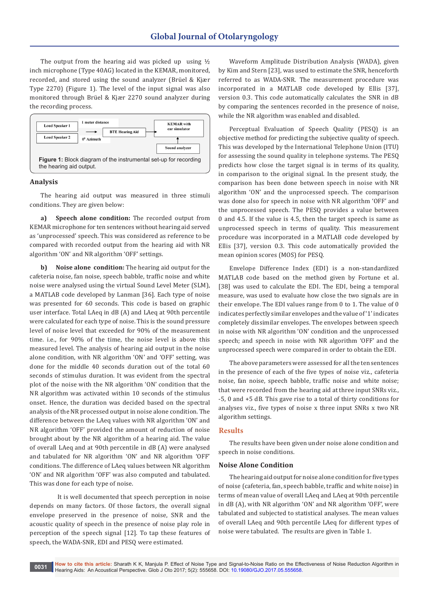The output from the hearing aid was picked up using  $\frac{1}{2}$ inch microphone (Type 40AG) located in the KEMAR, monitored, recorded, and stored using the sound analyzer (Brüel & Kjær Type 2270) (Figure 1). The level of the input signal was also monitored through Brüel & Kjær 2270 sound analyzer during the recording process.



#### **Analysis**

The hearing aid output was measured in three stimuli conditions. They are given below:

**a) Speech alone condition:** The recorded output from KEMAR microphone for ten sentences without hearing aid served as 'unprocessed' speech. This was considered as reference to be compared with recorded output from the hearing aid with NR algorithm 'ON' and NR algorithm 'OFF' settings.

**b) Noise alone condition:** The hearing aid output for the cafeteria noise, fan noise, speech babble, traffic noise and white noise were analysed using the virtual Sound Level Meter (SLM), a MATLAB code developed by Lanman [36]. Each type of noise was presented for 60 seconds. This code is based on graphic user interface. Total LAeq in dB (A) and LAeq at 90th percentile were calculated for each type of noise. This is the sound pressure level of noise level that exceeded for 90% of the measurement time. i.e., for 90% of the time, the noise level is above this measured level. The analysis of hearing aid output in the noise alone condition, with NR algorithm 'ON' and 'OFF' setting, was done for the middle 40 seconds duration out of the total 60 seconds of stimulus duration. It was evident from the spectral plot of the noise with the NR algorithm 'ON' condition that the NR algorithm was activated within 10 seconds of the stimulus onset. Hence, the duration was decided based on the spectral analysis of the NR processed output in noise alone condition. The difference between the LAeq values with NR algorithm 'ON' and NR algorithm 'OFF' provided the amount of reduction of noise brought about by the NR algorithm of a hearing aid. The value of overall LAeq and at 90th percentile in dB (A) were analysed and tabulated for NR algorithm 'ON' and NR algorithm 'OFF' conditions. The difference of LAeq values between NR algorithm 'ON' and NR algorithm 'OFF' was also computed and tabulated. This was done for each type of noise.

 It is well documented that speech perception in noise depends on many factors. Of those factors, the overall signal envelope preserved in the presence of noise, SNR and the acoustic quality of speech in the presence of noise play role in perception of the speech signal [12]. To tap these features of speech, the WADA-SNR, EDI and PESQ were estimated.

Waveform Amplitude Distribution Analysis (WADA), given by Kim and Stern [23], was used to estimate the SNR, henceforth referred to as WADA-SNR. The measurement procedure was incorporated in a MATLAB code developed by Ellis [37], version 0.3. This code automatically calculates the SNR in dB by comparing the sentences recorded in the presence of noise, while the NR algorithm was enabled and disabled.

Perceptual Evaluation of Speech Quality (PESQ) is an objective method for predicting the subjective quality of speech. This was developed by the International Telephone Union (ITU) for assessing the sound quality in telephone systems. The PESQ predicts how close the target signal is in terms of its quality, in comparison to the original signal. In the present study, the comparison has been done between speech in noise with NR algorithm 'ON' and the unprocessed speech. The comparison was done also for speech in noise with NR algorithm 'OFF' and the unprocessed speech. The PESQ provides a value between 0 and 4.5. If the value is 4.5, then the target speech is same as unprocessed speech in terms of quality. This measurement procedure was incorporated in a MATLAB code developed by Ellis [37], version 0.3. This code automatically provided the mean opinion scores (MOS) for PESQ.

Envelope Difference Index (EDI) is a non-standardized MATLAB code based on the method given by Fortune et al. [38] was used to calculate the EDI. The EDI, being a temporal measure, was used to evaluate how close the two signals are in their envelope. The EDI values range from 0 to 1. The value of 0 indicates perfectly similar envelopes and the value of '1' indicates completely dissimilar envelopes. The envelopes between speech in noise with NR algorithm 'ON' condition and the unprocessed speech; and speech in noise with NR algorithm 'OFF' and the unprocessed speech were compared in order to obtain the EDI.

The above parameters were assessed for all the ten sentences in the presence of each of the five types of noise viz., cafeteria noise, fan noise, speech babble, traffic noise and white noise; that were recorded from the hearing aid at three input SNRs viz., -5, 0 and +5 dB. This gave rise to a total of thirty conditions for analyses viz., five types of noise x three input SNRs x two NR algorithm settings.

# **Results**

The results have been given under noise alone condition and speech in noise conditions.

#### **Noise Alone Condition**

The hearing aid output for noise alone condition for five types of noise (cafeteria, fan, speech babble, traffic and white noise) in terms of mean value of overall LAeq and LAeq at 90th percentile in dB (A), with NR algorithm 'ON' and NR algorithm 'OFF', were tabulated and subjected to statistical analyses. The mean values of overall LAeq and 90th percentile LAeq for different types of noise were tabulated. The results are given in Table 1.

**How to cite this article:** Sharath K K, Manjula P. Effect of Noise Type and Signal-to-Noise Ratio on the Effectiveness of Noise Reduction Algorithm in Hearing Aids: An Acoustical Perspective. Glob J Oto 2017; 5(2): 555658. DOI: [10.19080/GJO.2017.05.555658.](http://dx.doi.org/10.19080/GJO.2017.05.555658) **<sup>0031</sup>**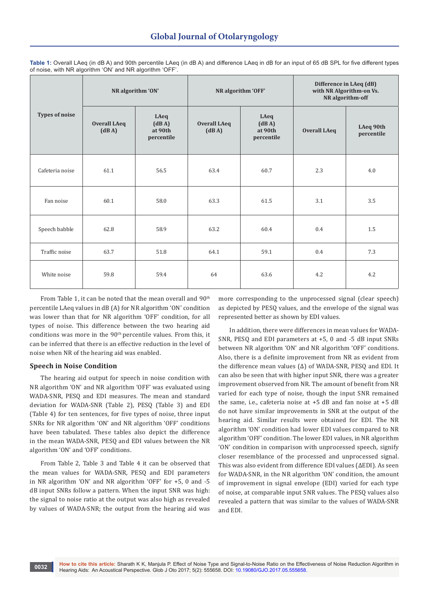| <b>Types of noise</b> | NR algorithm 'ON'            |                                        |                              | NR algorithm 'OFF'                     | Difference in LAeq (dB)<br>with NR Algorithm-on Vs.<br>NR algorithm-off |                         |
|-----------------------|------------------------------|----------------------------------------|------------------------------|----------------------------------------|-------------------------------------------------------------------------|-------------------------|
|                       | <b>Overall LAeq</b><br>(dBA) | LAeq<br>(dBA)<br>at 90th<br>percentile | <b>Overall LAeq</b><br>(dBA) | LAeq<br>(dBA)<br>at 90th<br>percentile | <b>Overall LAeq</b>                                                     | LAeq 90th<br>percentile |
| Cafeteria noise       | 61.1                         | 56.5                                   | 63.4                         | 60.7                                   | 2.3                                                                     | 4.0                     |
| Fan noise             | 60.1                         | 58.0                                   | 63.3                         | 61.5                                   | 3.1                                                                     | 3.5                     |
| Speech babble         | 62.8                         | 58.9                                   | 63.2                         | 60.4                                   | 0.4                                                                     | 1.5                     |
| Traffic noise         | 63.7                         | 51.8                                   | 64.1                         | 59.1                                   | 0.4                                                                     | 7.3                     |
| White noise           | 59.8                         | 59.4                                   | 64                           | 63.6                                   | 4.2                                                                     | 4.2                     |

**Table 1:** Overall LAeq (in dB A) and 90th percentile LAeq (in dB A) and difference LAeq in dB for an input of 65 dB SPL for five different types of noise, with NR algorithm 'ON' and NR algorithm 'OFF'.

From Table 1, it can be noted that the mean overall and  $90<sup>th</sup>$ percentile LAeq values in dB (A) for NR algorithm 'ON' condition was lower than that for NR algorithm 'OFF' condition, for all types of noise. This difference between the two hearing aid conditions was more in the 90<sup>th</sup> percentile values. From this, it can be inferred that there is an effective reduction in the level of noise when NR of the hearing aid was enabled.

# **Speech in Noise Condition**

The hearing aid output for speech in noise condition with NR algorithm 'ON' and NR algorithm 'OFF' was evaluated using WADA-SNR, PESQ and EDI measures. The mean and standard deviation for WADA-SNR (Table 2), PESQ (Table 3) and EDI (Table 4) for ten sentences, for five types of noise, three input SNRs for NR algorithm 'ON' and NR algorithm 'OFF' conditions have been tabulated. These tables also depict the difference in the mean WADA-SNR, PESQ and EDI values between the NR algorithm 'ON' and 'OFF' conditions.

From Table 2, Table 3 and Table 4 it can be observed that the mean values for WADA-SNR, PESQ and EDI parameters in NR algorithm 'ON' and NR algorithm 'OFF' for +5, 0 and -5 dB input SNRs follow a pattern. When the input SNR was high: the signal to noise ratio at the output was also high as revealed by values of WADA-SNR; the output from the hearing aid was more corresponding to the unprocessed signal (clear speech) as depicted by PESQ values, and the envelope of the signal was represented better as shown by EDI values.

In addition, there were differences in mean values for WADA-SNR, PESQ and EDI parameters at +5, 0 and -5 dB input SNRs between NR algorithm 'ON' and NR algorithm 'OFF' conditions. Also, there is a definite improvement from NR as evident from the difference mean values (∆) of WADA-SNR, PESQ and EDI. It can also be seen that with higher input SNR, there was a greater improvement observed from NR. The amount of benefit from NR varied for each type of noise, though the input SNR remained the same, i.e., cafeteria noise at +5 dB and fan noise at +5 dB do not have similar improvements in SNR at the output of the hearing aid. Similar results were obtained for EDI. The NR algorithm 'ON' condition had lower EDI values compared to NR algorithm 'OFF' condition. The lower EDI values, in NR algorithm 'ON' condition in comparison with unprocessed speech, signify closer resemblance of the processed and unprocessed signal. This was also evident from difference EDI values (∆EDI). As seen for WADA-SNR, in the NR algorithm 'ON' condition, the amount of improvement in signal envelope (EDI) varied for each type of noise, at comparable input SNR values. The PESQ values also revealed a pattern that was similar to the values of WADA-SNR and EDI.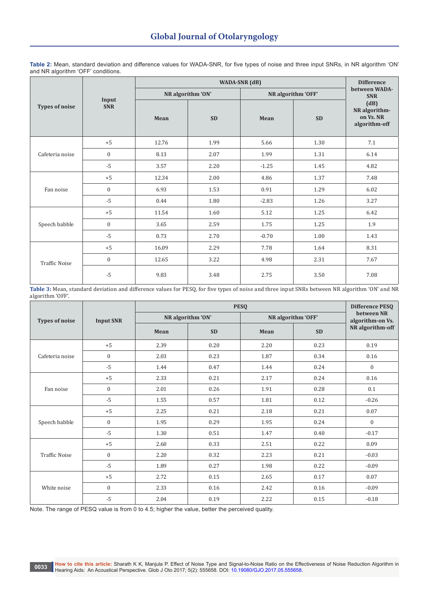**Table 2:** Mean, standard deviation and difference values for WADA-SNR, for five types of noise and three input SNRs, in NR algorithm 'ON' and NR algorithm 'OFF' conditions.

| <b>Types of noise</b> |                  |       | <b>Difference</b> |                    |                             |                                                     |
|-----------------------|------------------|-------|-------------------|--------------------|-----------------------------|-----------------------------------------------------|
|                       | Input            |       | NR algorithm 'ON' | NR algorithm 'OFF' | between WADA-<br><b>SNR</b> |                                                     |
|                       | <b>SNR</b>       | Mean  | <b>SD</b>         | Mean               | <b>SD</b>                   | (dB)<br>NR algorithm-<br>on Vs. NR<br>algorithm-off |
|                       | $+5$             | 12.76 | 1.99              | 5.66               | 1.30                        | 7.1                                                 |
| Cafeteria noise       | $\overline{0}$   | 8.13  | 2.07              | 1.99               | 1.31                        | 6.14                                                |
|                       | $-5$             | 3.57  | 2.20              | $-1.25$            | 1.45                        | 4.82                                                |
|                       | $+5$             | 12.34 | 2.00              | 4.86               | 1.37                        | 7.48                                                |
| Fan noise             | $\boldsymbol{0}$ | 6.93  | 1.53              | 0.91               | 1.29                        | 6.02                                                |
|                       | $-5$             | 0.44  | 1.80              | $-2.83$            | 1.26                        | 3.27                                                |
|                       | $+5$             | 11.54 | 1.60              | 5.12               | 1.25                        | 6.42                                                |
| Speech babble         | $\overline{0}$   | 3.65  | 2.59              | 1.75               | 1.25                        | 1.9                                                 |
|                       | $-5$             | 0.73  | 2.70              | $-0.70$            | 1.00                        | 1.43                                                |
| <b>Traffic Noise</b>  | $+5$             | 16.09 | 2.29              | 7.78               | 1.64                        | 8.31                                                |
|                       | $\boldsymbol{0}$ | 12.65 | 3.22              | 4.98               | 2.31                        | 7.67                                                |
|                       | $-5$             | 9.83  | 3.48              | 2.75               | 3.50                        | 7.08                                                |

**Table 3:** Mean, standard deviation and difference values for PESQ, for five types of noise and three input SNRs between NR algorithm 'ON' and NR algorithm 'OFF'.

|                       |                  |      | Difference PESQ   |      |                    |                                |
|-----------------------|------------------|------|-------------------|------|--------------------|--------------------------------|
| <b>Types of noise</b> | <b>Input SNR</b> |      | NR algorithm 'ON' |      | NR algorithm 'OFF' | between NR<br>algorithm-on Vs. |
|                       |                  | Mean | <b>SD</b>         | Mean | <b>SD</b>          | NR algorithm-off               |
|                       | $+5$             | 2.39 | 0.20              | 2.20 | 0.23               | 0.19                           |
| Cafeteria noise       | $\overline{0}$   | 2.03 | 0.23              | 1.87 | 0.34               | 0.16                           |
|                       | $-5$             | 1.44 | 0.47              | 1.44 | 0.24               | $\overline{0}$                 |
|                       | $+5$             | 2.33 | 0.21              | 2.17 | 0.24               | 0.16                           |
| Fan noise             | $\overline{0}$   | 2.01 | 0.26              | 1.91 | 0.28               | 0.1                            |
|                       | $-5$             | 1.55 | 0.57              | 1.81 | 0.12               | $-0.26$                        |
|                       | $+5$             | 2.25 | 0.21              | 2.18 | 0.21               | 0.07                           |
| Speech babble         | $\overline{0}$   | 1.95 | 0.29              | 1.95 | 0.24               | $\overline{0}$                 |
|                       | $-5$             | 1.30 | 0.51              | 1.47 | 0.40               | $-0.17$                        |
|                       | $+5$             | 2.60 | 0.33              | 2.51 | 0.22               | 0.09                           |
| <b>Traffic Noise</b>  | $\overline{0}$   | 2.20 | 0.32              | 2.23 | 0.21               | $-0.03$                        |
|                       | $-5$             | 1.89 | 0.27              | 1.98 | 0.22               | $-0.09$                        |
|                       | $+5$             | 2.72 | $0.15\,$          | 2.65 | 0.17               | 0.07                           |
| White noise           | $\boldsymbol{0}$ | 2.33 | 0.16              | 2.42 | 0.16               | $-0.09$                        |
|                       | $-5$             | 2.04 | 0.19              | 2.22 | 0.15               | $-0.18$                        |

Note. The range of PESQ value is from 0 to 4.5; higher the value, better the perceived quality.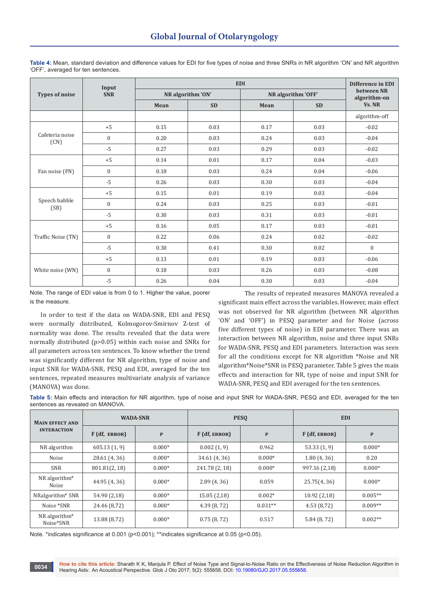|                         | Input            |                   | Difference in EDI |                    |                            |               |
|-------------------------|------------------|-------------------|-------------------|--------------------|----------------------------|---------------|
| <b>Types of noise</b>   | <b>SNR</b>       | NR algorithm 'ON' |                   | NR algorithm 'OFF' | between NR<br>algorithm-on |               |
|                         |                  | Mean              | <b>SD</b>         | Mean               | <b>SD</b>                  | Vs. NR        |
|                         |                  |                   |                   |                    |                            | algorithm-off |
|                         | $+5$             | 0.15              | 0.03              | 0.17               | 0.03                       | $-0.02$       |
| Cafeteria noise<br>(CN) | $\mathbf{0}$     | 0.20              | 0.03              | 0.24               | 0.03                       | $-0.04$       |
|                         | $-5$             | 0.27              | 0.03              | 0.29               | 0.03                       | $-0.02$       |
|                         | $+5$             | 0.14              | 0.01              | 0.17               | 0.04                       | $-0.03$       |
| Fan noise (FN)          | $\boldsymbol{0}$ | 0.18              | 0.03              | 0.24               | 0.04                       | $-0.06$       |
|                         | $-5$             | 0.26              | 0.03              | 0.30               | 0.03                       | $-0.04$       |
|                         | $+5$             | 0.15              | 0.01              | 0.19               | 0.03                       | $-0.04$       |
| Speech babble<br>(SB)   | $\mathbf{0}$     | 0.24              | 0.03              | 0.25               | 0.03                       | $-0.01$       |
|                         | $-5$             | 0.30              | 0.03              | 0.31               | 0.03                       | $-0.01$       |
|                         | $+5$             | 0.16              | 0.05              | 0.17               | 0.03                       | $-0.01$       |
| Traffic Noise (TN)      | $\mathbf{0}$     | 0.22              | 0.06              | 0.24               | 0.02                       | $-0.02$       |
|                         | $-5$             | 0.30              | 0.41              | 0.30               | 0.02                       | $\mathbf{0}$  |
|                         | $+5$             | 0.13              | 0.01              | 0.19               | 0.03                       | $-0.06$       |
| White noise (WN)        | $\mathbf{0}$     | 0.18              | 0.03              | 0.26               | 0.03                       | $-0.08$       |
|                         | $-5$             | 0.26              | 0.04              | 0.30               | 0.03                       | $-0.04$       |

**Table 4:** Mean, standard deviation and difference values for EDI for five types of noise and three SNRs in NR algorithm 'ON' and NR algorithm 'OFF', averaged for ten sentences.

Note. The range of EDI value is from 0 to 1. Higher the value, poorer is the measure.

In order to test if the data on WADA-SNR, EDI and PESQ were normally distributed, Kolmogorov-Smirnov Z-test of normality was done. The results revealed that the data were normally distributed (p>0.05) within each noise and SNRs for all parameters across ten sentences. To know whether the trend was significantly different for NR algorithm, type of noise and input SNR for WADA-SNR, PESQ and EDI, averaged for the ten sentences, repeated measures multivariate analysis of variance (MANOVA) was done.

The results of repeated measures MANOVA revealed a significant main effect across the variables. However, main effect was not observed for NR algorithm (between NR algorithm 'ON' and 'OFF') in PESQ parameter and for Noise (across five different types of noise) in EDI parameter. There was an interaction between NR algorithm, noise and three input SNRs for WADA-SNR, PESQ and EDI parameters. Interaction was seen for all the conditions except for NR algorithm \*Noise and NR algorithm\*Noise\*SNR in PESQ parameter. Table 5 gives the main effects and interaction for NR, type of noise and input SNR for WADA-SNR, PESQ and EDI averaged for the ten sentences.

**Table 5:** Main effects and interaction for NR algorithm, type of noise and input SNR for WADA-SNR, PESQ and EDI, averaged for the ten sentences as revealed on MANOVA.

| <b>MAIN EFFECT AND</b><br><b>INTERACTION</b> | <b>WADA-SNR</b> |              |                | <b>PESO</b>  | <b>EDI</b>    |              |  |
|----------------------------------------------|-----------------|--------------|----------------|--------------|---------------|--------------|--|
|                                              | $F$ (df, ERROR) | $\mathbf{P}$ | F (df, ERROR)  | $\mathbf{P}$ | F (df, ERROR) | $\mathbf{P}$ |  |
| NR algorithm                                 | 605.13(1, 9)    | $0.000*$     | 0.002(1, 9)    | 0.962        | 53.33(1, 9)   | $0.000*$     |  |
| Noise                                        | 28.61 (4, 36)   | $0.000*$     | 34.61 (4, 36)  | $0.000*$     | 1.80(4, 36)   | 0.20         |  |
| <b>SNR</b>                                   | 801.81(2, 18)   | $0.000*$     | 241.78 (2, 18) | $0.000*$     | 997.16 (2,18) | $0.000*$     |  |
| NR algorithm*<br>Noise                       | 44.95 (4, 36)   | $0.000*$     | 2.89(4, 36)    | 0.059        | 25.75(4, 36)  | $0.000*$     |  |
| NRalgorithm* SNR                             | 54.90 (2,18)    | $0.000*$     | 15.05(2,18)    | $0.002*$     | 10.92(2,18)   | $0.005**$    |  |
| Noise *SNR                                   | 24.46 (8,72)    | $0.000*$     | 4.39(8, 72)    | $0.031**$    | 4.53(8.72)    | $0.009**$    |  |
| $NR$ algorithm <sup>*</sup><br>Noise*SNR     | 13.88 (8,72)    | $0.000*$     | 0.75(8, 72)    | 0.517        | 5.84 (8, 72)  | $0.002**$    |  |

Note. \*indicates significance at 0.001 (p<0.001); \*\*indicates significance at 0.05 (p<0.05).

**How to cite this article:** Sharath K K, Manjula P. Effect of Noise Type and Signal-to-Noise Ratio on the Effectiveness of Noise Reduction Algorithm in How to cite this article: Sharath K.K., Manjula P. Effect of Noise Type and Signal-to-Noise Ratio on the Effect of Noise 1, Hearing Aids: An Acoustical Perspective. Glob J Oto 2017; 5(2): 555658. DOI: 10.19080/GJO.2017.05.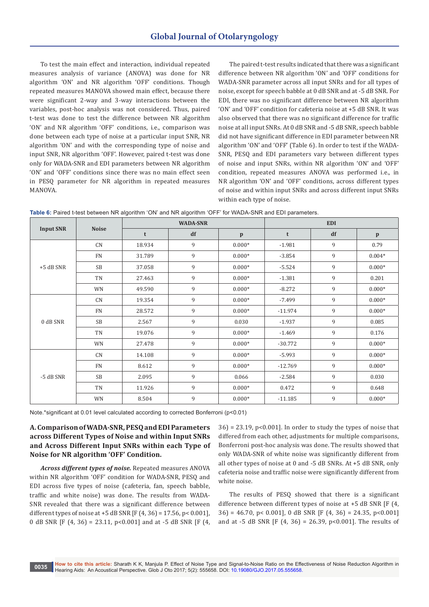To test the main effect and interaction, individual repeated measures analysis of variance (ANOVA) was done for NR algorithm 'ON' and NR algorithm 'OFF' conditions. Though repeated measures MANOVA showed main effect, because there were significant 2-way and 3-way interactions between the variables, post-hoc analysis was not considered. Thus, paired t-test was done to test the difference between NR algorithm 'ON' and NR algorithm 'OFF' conditions, i.e., comparison was done between each type of noise at a particular input SNR, NR algorithm 'ON' and with the corresponding type of noise and input SNR, NR algorithm 'OFF'. However, paired t-test was done only for WADA-SNR and EDI parameters between NR algorithm 'ON' and 'OFF' conditions since there was no main effect seen in PESQ parameter for NR algorithm in repeated measures MANOVA.

The paired t-test results indicated that there was a significant difference between NR algorithm 'ON' and 'OFF' conditions for WADA-SNR parameter across all input SNRs and for all types of noise, except for speech babble at 0 dB SNR and at -5 dB SNR. For EDI, there was no significant difference between NR algorithm 'ON' and 'OFF' condition for cafeteria noise at +5 dB SNR. It was also observed that there was no significant difference for traffic noise at all input SNRs. At 0 dB SNR and -5 dB SNR, speech babble did not have significant difference in EDI parameter between NR algorithm 'ON' and 'OFF' (Table 6). In order to test if the WADA-SNR, PESQ and EDI parameters vary between different types of noise and input SNRs, within NR algorithm 'ON' and 'OFF' condition, repeated measures ANOVA was performed i.e., in NR algorithm 'ON' and 'OFF' conditions, across different types of noise and within input SNRs and across different input SNRs within each type of noise.

Table 6: Paired t-test between NR algorithm 'ON' and NR algorithm 'OFF' for WADA-SNR and EDI parameters.

|                  |              |        | <b>WADA-SNR</b> |              | <b>EDI</b> |    |              |  |
|------------------|--------------|--------|-----------------|--------------|------------|----|--------------|--|
| <b>Input SNR</b> | <b>Noise</b> | t      | df              | $\mathbf{p}$ | t          | df | $\mathbf{p}$ |  |
|                  | CN           | 18.934 | 9               | $0.000*$     | $-1.981$   | 9  | 0.79         |  |
|                  | <b>FN</b>    | 31.789 | 9               | $0.000*$     | $-3.854$   | 9  | $0.004*$     |  |
| $+5$ dB SNR      | <b>SB</b>    | 37.058 | 9               | $0.000*$     | $-5.524$   | 9  | $0.000*$     |  |
|                  | TN           | 27.463 | 9               | $0.000*$     | $-1.381$   | 9  | 0.201        |  |
|                  | WN           | 49.590 | 9               | $0.000*$     | $-8.272$   | 9  | $0.000*$     |  |
|                  | CN           | 19.354 | 9               | $0.000*$     | $-7.499$   | 9  | $0.000*$     |  |
|                  | <b>FN</b>    | 28.572 | 9               | $0.000*$     | $-11.974$  | 9  | $0.000*$     |  |
| 0 dB SNR         | <b>SB</b>    | 2.567  | 9               | 0.030        | $-1.937$   | 9  | 0.085        |  |
|                  | TN           | 19.076 | 9               | $0.000*$     | $-1.469$   | 9  | 0.176        |  |
|                  | WN           | 27.478 | 9               | $0.000*$     | $-30.772$  | 9  | $0.000*$     |  |
|                  | CN           | 14.108 | 9               | $0.000*$     | $-5.993$   | 9  | $0.000*$     |  |
| -5 dB SNR        | <b>FN</b>    | 8.612  | 9               | $0.000*$     | $-12.769$  | 9  | $0.000*$     |  |
|                  | <b>SB</b>    | 2.095  | 9               | 0.066        | $-2.584$   | 9  | 0.030        |  |
|                  | TN           | 11.926 | 9               | $0.000*$     | 0.472      | 9  | 0.648        |  |
|                  | WN           | 8.504  | 9               | $0.000*$     | $-11.185$  | 9  | $0.000*$     |  |

Note.\*significant at 0.01 level calculated according to corrected Bonferroni (p<0.01)

# **A. Comparison of WADA-SNR, PESQ and EDI Parameters across Different Types of Noise and within Input SNRs and Across Different Input SNRs within each Type of Noise for NR algorithm 'OFF' Condition.**

*Across different types of noise.* Repeated measures ANOVA within NR algorithm 'OFF' condition for WADA-SNR, PESQ and EDI across five types of noise (cafeteria, fan, speech babble, traffic and white noise) was done. The results from WADA-SNR revealed that there was a significant difference between different types of noise at  $+5$  dB SNR [F (4, 36) = 17.56, p < 0.001], 0 dB SNR [F (4, 36) = 23.11, p<0.001] and at -5 dB SNR [F (4,

 $36$  = 23.19, p<0.001]. In order to study the types of noise that differed from each other, adjustments for multiple comparisons, Bonferroni post-hoc analysis was done. The results showed that only WADA-SNR of white noise was significantly different from all other types of noise at 0 and -5 dB SNRs. At +5 dB SNR, only cafeteria noise and traffic noise were significantly different from white noise.

The results of PESQ showed that there is a significant difference between different types of noise at +5 dB SNR [F (4,  $36$  = 46.70, p < 0.001], 0 dB SNR [F (4, 36) = 24.35, p < 0.001] and at -5 dB SNR [F  $(4, 36) = 26.39$ , p<0.001]. The results of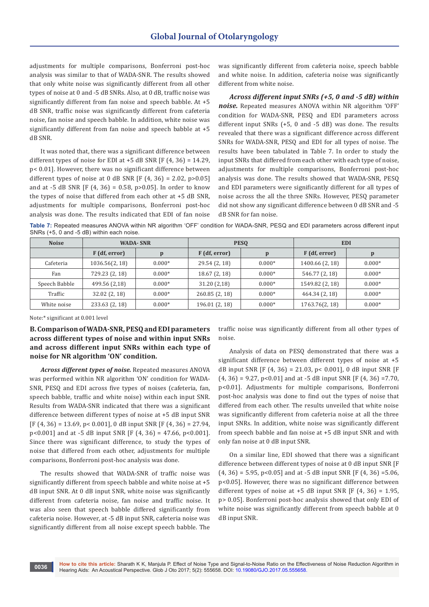adjustments for multiple comparisons, Bonferroni post-hoc analysis was similar to that of WADA-SNR. The results showed that only white noise was significantly different from all other types of noise at 0 and -5 dB SNRs. Also, at 0 dB, traffic noise was significantly different from fan noise and speech babble. At +5 dB SNR, traffic noise was significantly different from cafeteria noise, fan noise and speech babble. In addition, white noise was significantly different from fan noise and speech babble at +5 dB SNR.

It was noted that, there was a significant difference between different types of noise for EDI at  $+5$  dB SNR [F (4, 36) = 14.29, p< 0.01]. However, there was no significant difference between different types of noise at 0 dB SNR [F  $(4, 36) = 2.02$ , p>0.05] and at -5 dB SNR [F (4, 36) = 0.58, p>0.05]. In order to know the types of noise that differed from each other at +5 dB SNR, adjustments for multiple comparisons, Bonferroni post-hoc analysis was done. The results indicated that EDI of fan noise

was significantly different from cafeteria noise, speech babble and white noise. In addition, cafeteria noise was significantly different from white noise.

*Across different input SNRs (+5, 0 and -5 dB) within noise.* Repeated measures ANOVA within NR algorithm 'OFF' condition for WADA-SNR, PESQ and EDI parameters across different input SNRs (+5, 0 and -5 dB) was done. The results revealed that there was a significant difference across different SNRs for WADA-SNR, PESQ and EDI for all types of noise. The results have been tabulated in Table 7. In order to study the input SNRs that differed from each other with each type of noise, adjustments for multiple comparisons, Bonferroni post-hoc analysis was done. The results showed that WADA-SNR, PESQ and EDI parameters were significantly different for all types of noise across the all the three SNRs. However, PESQ parameter did not show any significant difference between 0 dB SNR and -5 dB SNR for fan noise.

**Table 7:** Repeated measures ANOVA within NR algorithm 'OFF' condition for WADA-SNR, PESQ and EDI parameters across different input SNRs (+5, 0 and -5 dB) within each noise.

| <b>Noise</b>  | <b>WADA-SNR</b> |              |                | <b>PESO</b> | <b>EDI</b>      |          |
|---------------|-----------------|--------------|----------------|-------------|-----------------|----------|
|               | F (df, error)   | $\mathbf{p}$ | F (df, error)  | D           | F (df, error)   | p        |
| Cafeteria     | 1036.56(2, 18)  | $0.000*$     | 29.54 (2, 18)  | $0.000*$    | 1400.66 (2, 18) | $0.000*$ |
| Fan           | 729.23 (2, 18)  | $0.000*$     | 18.67(2, 18)   | $0.000*$    | 546.77 (2, 18)  | $0.000*$ |
| Speech Babble | 499.56 (2,18)   | $0.000*$     | 31.20(2,18)    | $0.000*$    | 1549.82 (2, 18) | $0.000*$ |
| Traffic       | 32.02(2, 18)    | $0.000*$     | 260.85(2, 18)  | $0.000*$    | 464.34 (2, 18)  | $0.000*$ |
| White noise   | 233.63 (2, 18)  | $0.000*$     | 196.01 (2, 18) | $0.000*$    | 1763.76(2, 18)  | $0.000*$ |

Note:\* significant at 0.001 level

**B. Comparison of WADA-SNR, PESQ and EDI parameters across different types of noise and within input SNRs and across different input SNRs within each type of noise for NR algorithm 'ON' condition.**

*Across different types of noise.* Repeated measures ANOVA was performed within NR algorithm 'ON' condition for WADA-SNR, PESQ and EDI across five types of noises (cafeteria, fan, speech babble, traffic and white noise) within each input SNR. Results from WADA-SNR indicated that there was a significant difference between different types of noise at +5 dB input SNR  $[F (4, 36) = 13.69, p < 0.001]$ , 0 dB input SNR  $[F (4, 36) = 27.94$ ,  $p<0.001$  and at -5 dB input SNR [F (4, 36) = 47.66,  $p<0.001$ ]. Since there was significant difference, to study the types of noise that differed from each other, adjustments for multiple comparisons, Bonferroni post-hoc analysis was done.

The results showed that WADA-SNR of traffic noise was significantly different from speech babble and white noise at +5 dB input SNR. At 0 dB input SNR, white noise was significantly different from cafeteria noise, fan noise and traffic noise. It was also seen that speech babble differed significantly from cafeteria noise. However, at -5 dB input SNR, cafeteria noise was significantly different from all noise except speech babble. The

traffic noise was significantly different from all other types of noise.

Analysis of data on PESQ demonstrated that there was a significant difference between different types of noise at +5 dB input SNR [F  $(4, 36) = 21.03$ , p< 0.001], 0 dB input SNR [F  $(4, 36) = 9.27$ ,  $p < 0.01$  and at -5 dB input SNR [F  $(4, 36) = 7.70$ , p<0.01]. Adjustments for multiple comparisons, Bonferroni post-hoc analysis was done to find out the types of noise that differed from each other. The results unveiled that white noise was significantly different from cafeteria noise at all the three input SNRs. In addition, white noise was significantly different from speech babble and fan noise at +5 dB input SNR and with only fan noise at 0 dB input SNR.

On a similar line, EDI showed that there was a significant difference between different types of noise at 0 dB input SNR [F  $(4, 36) = 5.95$ ,  $p < 0.05$  and at  $-5$  dB input SNR [F  $(4, 36) = 5.06$ , p<0.05]. However, there was no significant difference between different types of noise at  $+5$  dB input SNR [F (4, 36) = 1.95, p> 0.05]. Bonferroni post-hoc analysis showed that only EDI of white noise was significantly different from speech babble at 0 dB input SNR.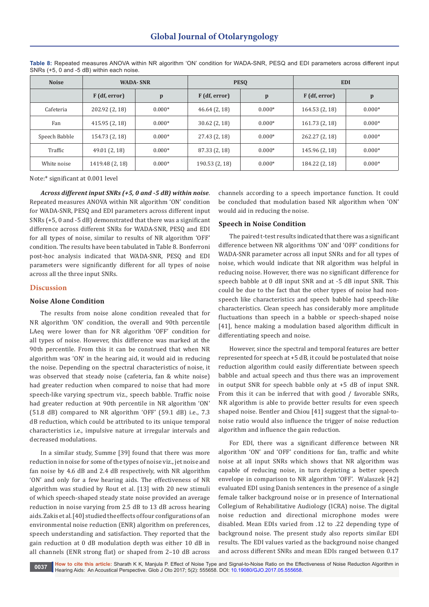| <b>Noise</b>  | <b>WADA-SNR</b> |              |                               | <b>PESO</b> | <b>EDI</b>      |              |
|---------------|-----------------|--------------|-------------------------------|-------------|-----------------|--------------|
|               | F (df, error)   | $\mathbf{p}$ | F (df, error)<br>$\mathbf{p}$ |             | $F$ (df, error) | $\mathbf{p}$ |
| Cafeteria     | 202.92 (2, 18)  | $0.000*$     | 46.64(2, 18)                  | $0.000*$    | 164.53 (2, 18)  | $0.000*$     |
| Fan           | 415.95 (2, 18)  | $0.000*$     | 30.62(2, 18)                  | $0.000*$    | 161.73(2, 18)   | $0.000*$     |
| Speech Babble | 154.73 (2, 18)  | $0.000*$     | 27.43 (2, 18)                 | $0.000*$    | 262.27 (2, 18)  | $0.000*$     |
| Traffic       | 49.01 (2, 18)   | $0.000*$     | 87.33 (2, 18)                 | $0.000*$    | 145.96 (2, 18)  | $0.000*$     |
| White noise   | 1419.48 (2, 18) | $0.000*$     | 190.53 (2, 18)                | $0.000*$    | 184.22 (2, 18)  | $0.000*$     |

**Table 8:** Repeated measures ANOVA within NR algorithm 'ON' condition for WADA-SNR, PESQ and EDI parameters across different input SNRs (+5, 0 and -5 dB) within each noise.

Note:\* significant at 0.001 level

*Across different input SNRs (+5, 0 and -5 dB) within noise*. Repeated measures ANOVA within NR algorithm 'ON' condition for WADA-SNR, PESQ and EDI parameters across different input SNRs (+5, 0 and -5 dB) demonstrated that there was a significant difference across different SNRs for WADA-SNR, PESQ and EDI for all types of noise, similar to results of NR algorithm 'OFF' condition. The results have been tabulated in Table 8. Bonferroni post-hoc analysis indicated that WADA-SNR, PESQ and EDI parameters were significantly different for all types of noise across all the three input SNRs.

## **Discussion**

# **Noise Alone Condition**

The results from noise alone condition revealed that for NR algorithm 'ON' condition, the overall and 90th percentile LAeq were lower than for NR algorithm 'OFF' condition for all types of noise. However, this difference was marked at the 90th percentile. From this it can be construed that when NR algorithm was 'ON' in the hearing aid, it would aid in reducing the noise. Depending on the spectral characteristics of noise, it was observed that steady noise (cafeteria, fan & white noise) had greater reduction when compared to noise that had more speech-like varying spectrum viz., speech babble. Traffic noise had greater reduction at 90th percentile in NR algorithm 'ON' (51.8 dB) compared to NR algorithm 'OFF' (59.1 dB) i.e., 7.3 dB reduction, which could be attributed to its unique temporal characteristics i.e., impulsive nature at irregular intervals and decreased modulations.

In a similar study, Summe [39] found that there was more reduction in noise for some of the types of noise viz., jet noise and fan noise by 4.6 dB and 2.4 dB respectively, with NR algorithm 'ON' and only for a few hearing aids. The effectiveness of NR algorithm was studied by Rout et al. [13] with 20 new stimuli of which speech-shaped steady state noise provided an average reduction in noise varying from 2.5 dB to 13 dB across hearing aids. Zakis et al. [40] studied the effects of four configurations of an environmental noise reduction (ENR) algorithm on preferences, speech understanding and satisfaction. They reported that the gain reduction at 0 dB modulation depth was either 10 dB in all channels (ENR strong flat) or shaped from 2–10 dB across

channels according to a speech importance function. It could be concluded that modulation based NR algorithm when 'ON' would aid in reducing the noise.

# **Speech in Noise Condition**

The paired t-test results indicated that there was a significant difference between NR algorithms 'ON' and 'OFF' conditions for WADA-SNR parameter across all input SNRs and for all types of noise, which would indicate that NR algorithm was helpful in reducing noise. However, there was no significant difference for speech babble at 0 dB input SNR and at -5 dB input SNR. This could be due to the fact that the other types of noise had nonspeech like characteristics and speech babble had speech-like characteristics. Clean speech has considerably more amplitude fluctuations than speech in a babble or speech-shaped noise [41], hence making a modulation based algorithm difficult in differentiating speech and noise.

However, since the spectral and temporal features are better represented for speech at +5 dB, it could be postulated that noise reduction algorithm could easily differentiate between speech babble and actual speech and thus there was an improvement in output SNR for speech babble only at +5 dB of input SNR. From this it can be inferred that with good / favorable SNRs, NR algorithm is able to provide better results for even speech shaped noise. Bentler and Chiou [41] suggest that the signal-tonoise ratio would also influence the trigger of noise reduction algorithm and influence the gain reduction.

For EDI, there was a significant difference between NR algorithm 'ON' and 'OFF' conditions for fan, traffic and white noise at all input SNRs which shows that NR algorithm was capable of reducing noise, in turn depicting a better speech envelope in comparison to NR algorithm 'OFF'. Walaszek [42] evaluated EDI using Danish sentences in the presence of a single female talker background noise or in presence of International Collegium of Rehabilitative Audiology (ICRA) noise. The digital noise reduction and directional microphone modes were disabled. Mean EDIs varied from .12 to .22 depending type of background noise. The present study also reports similar EDI results. The EDI values varied as the background noise changed and across different SNRs and mean EDIs ranged between 0.17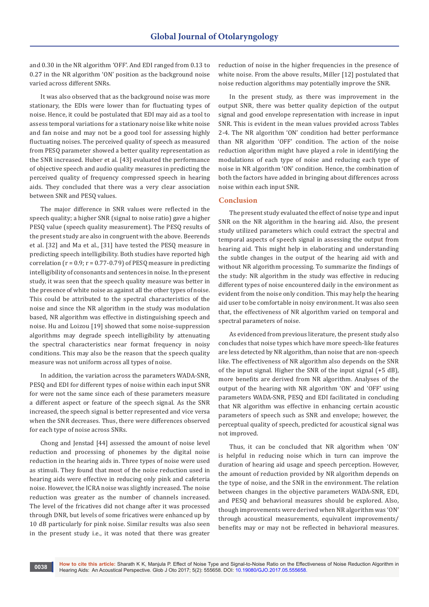and 0.30 in the NR algorithm 'OFF'. And EDI ranged from 0.13 to 0.27 in the NR algorithm 'ON' position as the background noise varied across different SNRs.

It was also observed that as the background noise was more stationary, the EDIs were lower than for fluctuating types of noise. Hence, it could be postulated that EDI may aid as a tool to assess temporal variations for a stationary noise like white noise and fan noise and may not be a good tool for assessing highly fluctuating noises. The perceived quality of speech as measured from PESQ parameter showed a better quality representation as the SNR increased. Huber et al. [43] evaluated the performance of objective speech and audio quality measures in predicting the perceived quality of frequency compressed speech in hearing aids. They concluded that there was a very clear association between SNR and PESQ values.

The major difference in SNR values were reflected in the speech quality; a higher SNR (signal to noise ratio) gave a higher PESQ value (speech quality measurement). The PESQ results of the present study are also in congruent with the above. Beerends et al. [32] and Ma et al., [31] have tested the PESQ measure in predicting speech intelligibility. Both studies have reported high correlation ( $r = 0.9$ ;  $r = 0.77 - 0.79$ ) of PESQ measure in predicting intelligibility of consonants and sentences in noise. In the present study, it was seen that the speech quality measure was better in the presence of white noise as against all the other types of noise. This could be attributed to the spectral characteristics of the noise and since the NR algorithm in the study was modulation based, NR algorithm was effective in distinguishing speech and noise. Hu and Loizou [19] showed that some noise-suppression algorithms may degrade speech intelligibility by attenuating the spectral characteristics near format frequency in noisy conditions. This may also be the reason that the speech quality measure was not uniform across all types of noise.

In addition, the variation across the parameters WADA-SNR, PESQ and EDI for different types of noise within each input SNR for were not the same since each of these parameters measure a different aspect or feature of the speech signal. As the SNR increased, the speech signal is better represented and vice versa when the SNR decreases. Thus, there were differences observed for each type of noise across SNRs.

Chong and Jenstad [44] assessed the amount of noise level reduction and processing of phonemes by the digital noise reduction in the hearing aids in. Three types of noise were used as stimuli. They found that most of the noise reduction used in hearing aids were effective in reducing only pink and cafeteria noise. However, the ICRA noise was slightly increased. The noise reduction was greater as the number of channels increased. The level of the fricatives did not change after it was processed through DNR, but levels of some fricatives were enhanced up by 10 dB particularly for pink noise. Similar results was also seen in the present study i.e., it was noted that there was greater

reduction of noise in the higher frequencies in the presence of white noise. From the above results, Miller [12] postulated that noise reduction algorithms may potentially improve the SNR.

In the present study, as there was improvement in the output SNR, there was better quality depiction of the output signal and good envelope representation with increase in input SNR. This is evident in the mean values provided across Tables 2-4. The NR algorithm 'ON' condition had better performance than NR algorithm 'OFF' condition. The action of the noise reduction algorithm might have played a role in identifying the modulations of each type of noise and reducing each type of noise in NR algorithm 'ON' condition. Hence, the combination of both the factors have added in bringing about differences across noise within each input SNR.

# **Conclusion**

The present study evaluated the effect of noise type and input SNR on the NR algorithm in the hearing aid. Also, the present study utilized parameters which could extract the spectral and temporal aspects of speech signal in assessing the output from hearing aid. This might help in elaborating and understanding the subtle changes in the output of the hearing aid with and without NR algorithm processing. To summarize the findings of the study: NR algorithm in the study was effective in reducing different types of noise encountered daily in the environment as evident from the noise only condition. This may help the hearing aid user to be comfortable in noisy environment. It was also seen that, the effectiveness of NR algorithm varied on temporal and spectral parameters of noise.

As evidenced from previous literature, the present study also concludes that noise types which have more speech-like features are less detected by NR algorithm, than noise that are non-speech like. The effectiveness of NR algorithm also depends on the SNR of the input signal. Higher the SNR of the input signal (+5 dB), more benefits are derived from NR algorithm. Analyses of the output of the hearing with NR algorithm 'ON' and 'OFF' using parameters WADA-SNR, PESQ and EDI facilitated in concluding that NR algorithm was effective in enhancing certain acoustic parameters of speech such as SNR and envelope; however, the perceptual quality of speech, predicted for acoustical signal was not improved.

Thus, it can be concluded that NR algorithm when 'ON' is helpful in reducing noise which in turn can improve the duration of hearing aid usage and speech perception. However, the amount of reduction provided by NR algorithm depends on the type of noise, and the SNR in the environment. The relation between changes in the objective parameters WADA-SNR, EDI, and PESQ and behavioral measures should be explored. Also, though improvements were derived when NR algorithm was 'ON' through acoustical measurements, equivalent improvements/ benefits may or may not be reflected in behavioral measures.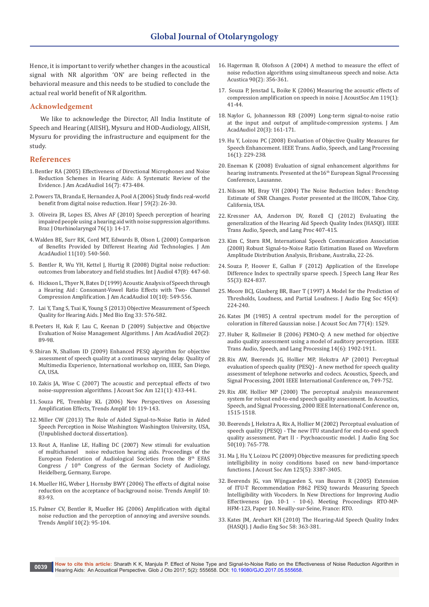Hence, it is important to verify whether changes in the acoustical signal with NR algorithm 'ON' are being reflected in the behavioral measure and this needs to be studied to conclude the actual real world benefit of NR algorithm.

#### **Acknowledgement**

We like to acknowledge the Director, All India Institute of Speech and Hearing (AIISH), Mysuru and HOD-Audiology, AIISH, Mysuru for providing the infrastructure and equipment for the study.

#### **References**

- 1.[Bentler RA \(2005\) Effectiveness of Directional Microphones and Noise](https://www.ncbi.nlm.nih.gov/pubmed/16295234)  [Reduction Schemes in Hearing Aids: A Systematic Review of the](https://www.ncbi.nlm.nih.gov/pubmed/16295234)  [Evidence. J Am AcadAudiol 16\(7\): 473-484.](https://www.ncbi.nlm.nih.gov/pubmed/16295234)
- 2.[Powers TA, Branda E, Hernandez A, Pool A \(2006\) Study finds real-world](http://journals.lww.com/thehearingjournal/Fulltext/2006/02000/Study_finds_real_world_benefit_from_digital_noise.5.aspx)  [benefit from digital noise reduction. Hear J 59\(2\): 26-30.](http://journals.lww.com/thehearingjournal/Fulltext/2006/02000/Study_finds_real_world_benefit_from_digital_noise.5.aspx)
- 3. [Oliveira JR, Lopes ES, Alves AF \(2010\) Speech perception of hearing](https://www.ncbi.nlm.nih.gov/pubmed/20339683)  [impaired people using a hearing aid with noise suppression algorithms.](https://www.ncbi.nlm.nih.gov/pubmed/20339683)  [Braz J Otorhinolaryngol 76\(1\): 14-17.](https://www.ncbi.nlm.nih.gov/pubmed/20339683)
- 4.[Walden BE, Surr RK, Cord MT, Edwards B, Olson L \(2000\) Comparison](https://www.ncbi.nlm.nih.gov/pubmed/11198072)  [of Benefits Provided by Different Hearing Aid Technologies. J Am](https://www.ncbi.nlm.nih.gov/pubmed/11198072)  [AcadAudiol 11\(10\): 540-560.](https://www.ncbi.nlm.nih.gov/pubmed/11198072)
- 5. [Bentler R, Wu YH, Kettel J, Hurtig R \(2008\) Digital noise reduction:](https://www.ncbi.nlm.nih.gov/pubmed/18698521)  [outcomes from laboratory and field studies. Int J Audiol 47\(8\): 447-60.](https://www.ncbi.nlm.nih.gov/pubmed/18698521)
- 6. [Hickson L, Thyer N, Bates D \(1999\) Acoustic Analysis of Speech through](https://www.ncbi.nlm.nih.gov/pubmed/10613351)  [a Hearing Aid : Consonant-Vowel Ratio Effects with Two- Channel](https://www.ncbi.nlm.nih.gov/pubmed/10613351)  [Compression Amplification. J Am AcadAudiol 10\(10\): 549-556.](https://www.ncbi.nlm.nih.gov/pubmed/10613351)
- 7. [Lai Y, Tang S, Tsai K, Young S \(2013\) Objective Measurement of Speech](https://www.researchgate.net/publication/287780712_Objective_measurement_of_speech_quality_for_hearing_aids)  [Quality for Hearing Aids. J Med Bio Eng 33: 576-582.](https://www.researchgate.net/publication/287780712_Objective_measurement_of_speech_quality_for_hearing_aids)
- 8.[Peeters H, Kuk F, Lau C, Keenan D \(2009\) Subjective and Objective](https://www.ncbi.nlm.nih.gov/pubmed/19927672)  [Evaluation of Noise Management Algorithms. J Am AcadAudiol 20\(2\):](https://www.ncbi.nlm.nih.gov/pubmed/19927672)  [89-98.](https://www.ncbi.nlm.nih.gov/pubmed/19927672)
- 9. Shiran N, Shallom ID (2009) Enhanced PESQ algorithm for objective assessment of speech quality at a continuous varying delay. Quality of Multimedia Experience, International workshop on, IEEE, San Diego, CA, USA.
- 10. [Zakis JA, Wise C \(2007\) The acoustic and perceptual effects of two](https://www.ncbi.nlm.nih.gov/pubmed/17297798)  [noise-suppression algorithms. J Acoust Soc Am 121\(1\): 433-441.](https://www.ncbi.nlm.nih.gov/pubmed/17297798)
- 11. Souza PE, Tremblay KL (2006) New Perspectives on Assessing Amplification Effects, Trends Amplif 10: 119-143.
- 12. Miller CW (2013) The Role of Aided Signal-to-Noise Ratio in Aided Speech Perception in Noise Washington: Washington University, USA, (Unpublished doctoral dissertation).
- 13. Rout A, Hanline LE, Halling DC (2007) New stimuli for evaluation of multichannel noise reduction hearing aids. Proceedings of the European Federation of Audiological Societies from the 8th EFAS Congress  $/10<sup>th</sup>$  Congress of the German Society of Audiology, Heidelberg, Germany, Europe.
- 14. [Mueller HG, Weber J, Hornsby BWY \(2006\) The effects of digital noise](http://journals.sagepub.com/doi/abs/10.1177/1084713806289553)  [reduction on the acceptance of background noise. Trends Amplif 10:](http://journals.sagepub.com/doi/abs/10.1177/1084713806289553)  [83-93.](http://journals.sagepub.com/doi/abs/10.1177/1084713806289553)
- 15. [Palmer CV, Bentler R, Mueller HG \(2006\) Amplification with digital](https://www.ncbi.nlm.nih.gov/pubmed/16959733)  [noise reduction and the perception of annoying and aversive sounds.](https://www.ncbi.nlm.nih.gov/pubmed/16959733)  [Trends Amplif 10\(2\): 95-104.](https://www.ncbi.nlm.nih.gov/pubmed/16959733)
- 16. [Hagerman B, Olofsson A \(2004\) A method to measure the effect of](http://www.ingentaconnect.com/contentone/dav/aaua/2004/00000090/00000002/art00016)  [noise reduction algorithms using simultaneous speech and noise. Acta](http://www.ingentaconnect.com/contentone/dav/aaua/2004/00000090/00000002/art00016)  [Acustica 90\(2\): 356-361.](http://www.ingentaconnect.com/contentone/dav/aaua/2004/00000090/00000002/art00016)
- 17. [Souza P, Jenstad L, Boike K \(2006\) Measuring the acoustic effects of](https://www.ncbi.nlm.nih.gov/pubmed/16454262)  [compression amplification on speech in noise. J AcoustSoc Am 119\(1\):](https://www.ncbi.nlm.nih.gov/pubmed/16454262)  [41-44.](https://www.ncbi.nlm.nih.gov/pubmed/16454262)
- 18. [Naylor G, Johannesson RB \(2009\) Long-term signal-to-noise ratio](https://www.ncbi.nlm.nih.gov/pubmed/19927686)  [at the input and output of amplitude-compression systems. J Am](https://www.ncbi.nlm.nih.gov/pubmed/19927686)  [AcadAudiol 20\(3\): 161-171.](https://www.ncbi.nlm.nih.gov/pubmed/19927686)
- 19. [Hu Y, Loizou PC \(2008\) Evaluation of Objective Quality Measures for](http://ieeexplore.ieee.org/document/4389058/?reload=true)  [Speech Enhancement. IEEE Trans. Audio, Speech, and Lang Processing](http://ieeexplore.ieee.org/document/4389058/?reload=true)  [16\(1\): 229-238.](http://ieeexplore.ieee.org/document/4389058/?reload=true)
- 20. Eneman K (2008) Evaluation of signal enhancement algorithms for hearing instruments. Presented at the16<sup>th</sup> European Signal Processing Conference, Lausanne.
- 21. Nilsson MJ, Bray VH (2004) The Noise Reduction Index : Benchtop Estimate of SNR Changes. Poster presented at the IHCON, Tahoe City, California, USA.
- 22. [Kressner AA, Anderson DV, Rozell CJ \(2012\) Evaluating the](http://citeseerx.ist.psu.edu/viewdoc/download?doi=10.1.1.708.6339&rep=rep1&type=pdf)  [generalization of the Hearing Aid Speech Quality Index \(HASQI\). IEEE](http://citeseerx.ist.psu.edu/viewdoc/download?doi=10.1.1.708.6339&rep=rep1&type=pdf)  [Trans Audio, Speech, and Lang Proc 407-415.](http://citeseerx.ist.psu.edu/viewdoc/download?doi=10.1.1.708.6339&rep=rep1&type=pdf)
- 23. Kim C, Stern RM, International Speech Communication Association (2008) Robust Signal-to-Noise Ratio Estimation Based on Waveform Amplitude Distribution Analysis, Brisbane, Australia, 22-26.
- 24. [Souza P, Hoover E, Gallun F \(2012\) Application of the Envelope](https://www.ncbi.nlm.nih.gov/pubmed/22232401)  [Difference Index to spectrally sparse speech. J Speech Lang Hear Res](https://www.ncbi.nlm.nih.gov/pubmed/22232401)  [55\(3\): 824-837.](https://www.ncbi.nlm.nih.gov/pubmed/22232401)
- 25. [Moore BCJ, Glasberg BR, Baer T \(1997\) A Model for the Prediction of](http://www.aes.org/e-lib/browse.cfm?elib=10272)  [Thresholds, Loudness, and Partial Loudness. J Audio Eng Soc 45\(4\):](http://www.aes.org/e-lib/browse.cfm?elib=10272)  [224-240.](http://www.aes.org/e-lib/browse.cfm?elib=10272)
- 26. [Kates JM \(1985\) A central spectrum model for the perception of](https://www.ncbi.nlm.nih.gov/pubmed/2985674)  [coloration in filtered Gaussian noise. J Acoust Soc Am 77\(4\): 1529.](https://www.ncbi.nlm.nih.gov/pubmed/2985674)
- 27. [Huber R, Kollmeier B \(2006\) PEMO-Q: A new method for objective](http://ieeexplore.ieee.org/Xplore/login.jsp?url=http%3A%2F%2Fieeexplore.ieee.org%2Fiel5%2F10376%2F36074%2F01709880.pdf&authDecision=-203)  [audio quality assessment using a model of auditory perception. IEEE](http://ieeexplore.ieee.org/Xplore/login.jsp?url=http%3A%2F%2Fieeexplore.ieee.org%2Fiel5%2F10376%2F36074%2F01709880.pdf&authDecision=-203)  [Trans Audio, Speech, and Lang Processing 14\(6\): 1902-1911.](http://ieeexplore.ieee.org/Xplore/login.jsp?url=http%3A%2F%2Fieeexplore.ieee.org%2Fiel5%2F10376%2F36074%2F01709880.pdf&authDecision=-203)
- 28. Rix AW, Beerends JG, Hollier MP, Hekstra AP (2001) Perceptual evaluation of speech quality (PESQ) - A new method for speech quality assessment of telephone networks and codecs. Acoustics, Speech, and Signal Processing, 2001 IEEE International Conference on, 749-752.
- 29. Rix AW, Hollier MP (2000) The perceptual analysis measurement system for robust end-to-end speech quality assessment. In Acoustics, Speech, and Signal Processing, 2000 IEEE International Conference on, 1515-1518.
- 30. [Beerends J, Hekstra A, Rix A, Hollier M \(2002\) Perceptual evaluation of](http://www.aes.org/e-lib/browse.cfm?elib=11062)  [speech quality \(PESQ\) - The new ITU standard for end-to-end speech](http://www.aes.org/e-lib/browse.cfm?elib=11062)  [quality assessment. Part II - Psychoacoustic model. J Audio Eng Soc](http://www.aes.org/e-lib/browse.cfm?elib=11062)  [50\(10\): 765-778.](http://www.aes.org/e-lib/browse.cfm?elib=11062)
- 31. Ma J, Hu Y, Loizou PC (2009) Objective measures for predicting speech intelligibility in noisy conditions based on new band-importance functions. J Acoust Soc Am 125(5): 3387-3405.
- 32. Beerends JG, van Wijngaarden S, van Buuren R (2005) Extension of ITU-T Recommendation P.862 PESQ towards Measuring Speech Intelligibility with Vocoders. In New Directions for Improving Audio Effectiveness (pp. 10-1 - 10-6). Meeting Proceedings RTO-MP-HFM-123, Paper 10. Neuilly-sur-Seine, France: RTO.
- 33. [Kates JM, Arehart KH \(2010\) The Hearing-Aid Speech Quality Index](http://www.aes.org/e-lib/browse.cfm?elib=17126)  [\(HASQI\). J Audio Eng Soc 58: 363-381.](http://www.aes.org/e-lib/browse.cfm?elib=17126)